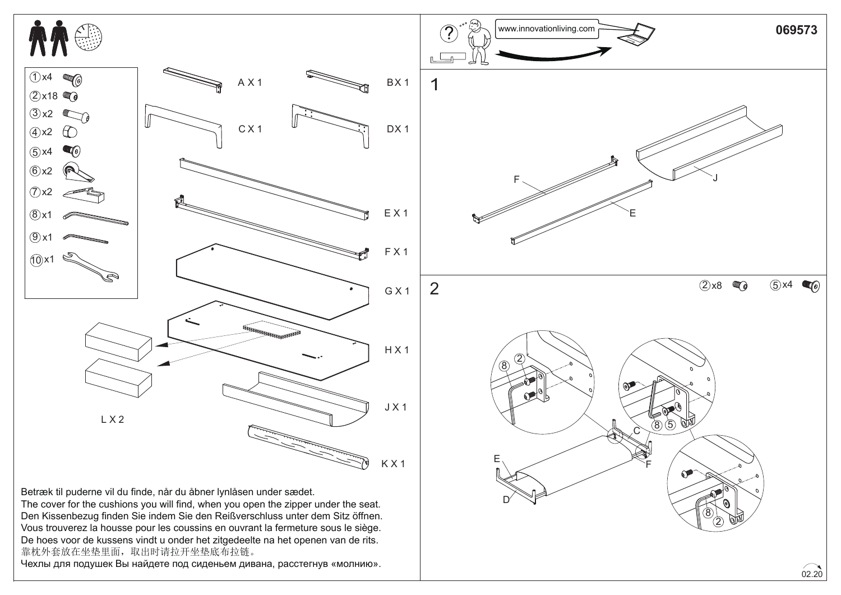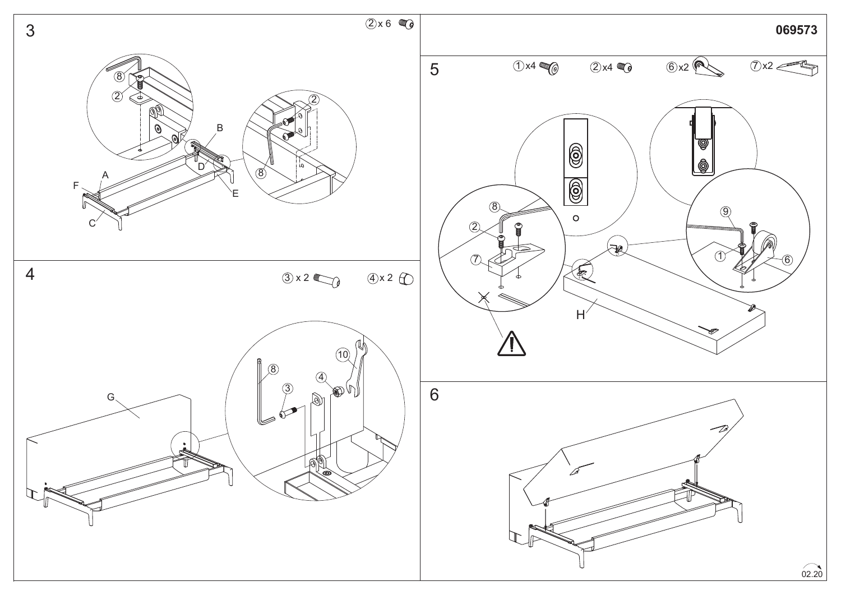